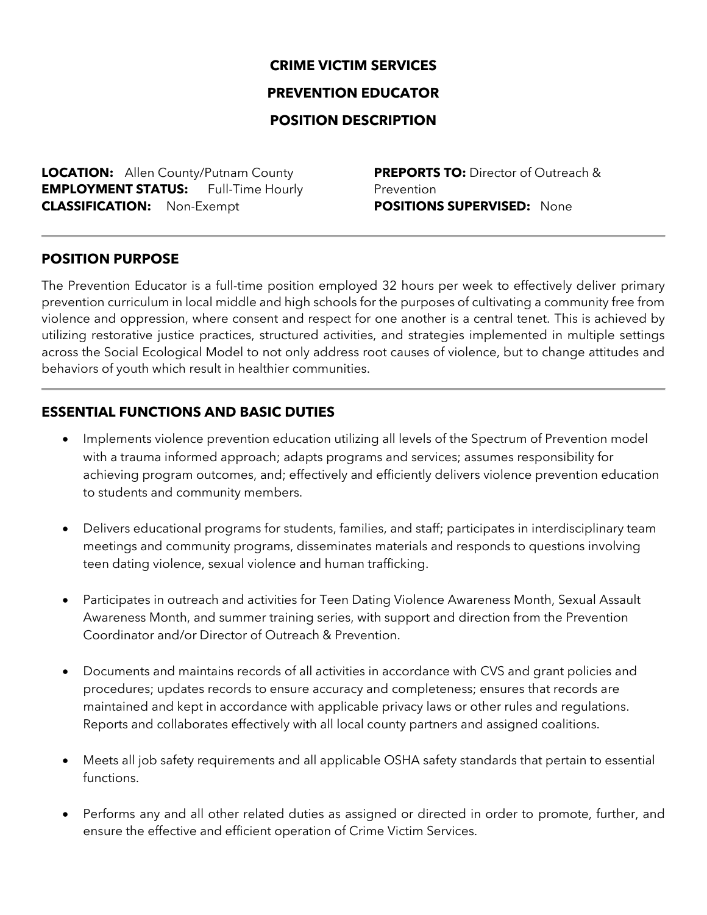## **CRIME VICTIM SERVICES**

#### **PREVENTION EDUCATOR**

## **POSITION DESCRIPTION**

**LOCATION:** Allen County/Putnam County **EMPLOYMENT STATUS:** Full-Time Hourly **CLASSIFICATION:** Non-Exempt

**PREPORTS TO:** Director of Outreach & Prevention **POSITIONS SUPERVISED:** None

#### **POSITION PURPOSE**

The Prevention Educator is a full-time position employed 32 hours per week to effectively deliver primary prevention curriculum in local middle and high schools for the purposes of cultivating a community free from violence and oppression, where consent and respect for one another is a central tenet. This is achieved by utilizing restorative justice practices, structured activities, and strategies implemented in multiple settings across the Social Ecological Model to not only address root causes of violence, but to change attitudes and behaviors of youth which result in healthier communities.

## **ESSENTIAL FUNCTIONS AND BASIC DUTIES**

- Implements violence prevention education utilizing all levels of the Spectrum of Prevention model with a trauma informed approach; adapts programs and services; assumes responsibility for achieving program outcomes, and; effectively and efficiently delivers violence prevention education to students and community members.
- Delivers educational programs for students, families, and staff; participates in interdisciplinary team meetings and community programs, disseminates materials and responds to questions involving teen dating violence, sexual violence and human trafficking.
- Participates in outreach and activities for Teen Dating Violence Awareness Month, Sexual Assault Awareness Month, and summer training series, with support and direction from the Prevention Coordinator and/or Director of Outreach & Prevention.
- Documents and maintains records of all activities in accordance with CVS and grant policies and procedures; updates records to ensure accuracy and completeness; ensures that records are maintained and kept in accordance with applicable privacy laws or other rules and regulations. Reports and collaborates effectively with all local county partners and assigned coalitions.
- Meets all job safety requirements and all applicable OSHA safety standards that pertain to essential functions.
- Performs any and all other related duties as assigned or directed in order to promote, further, and ensure the effective and efficient operation of Crime Victim Services.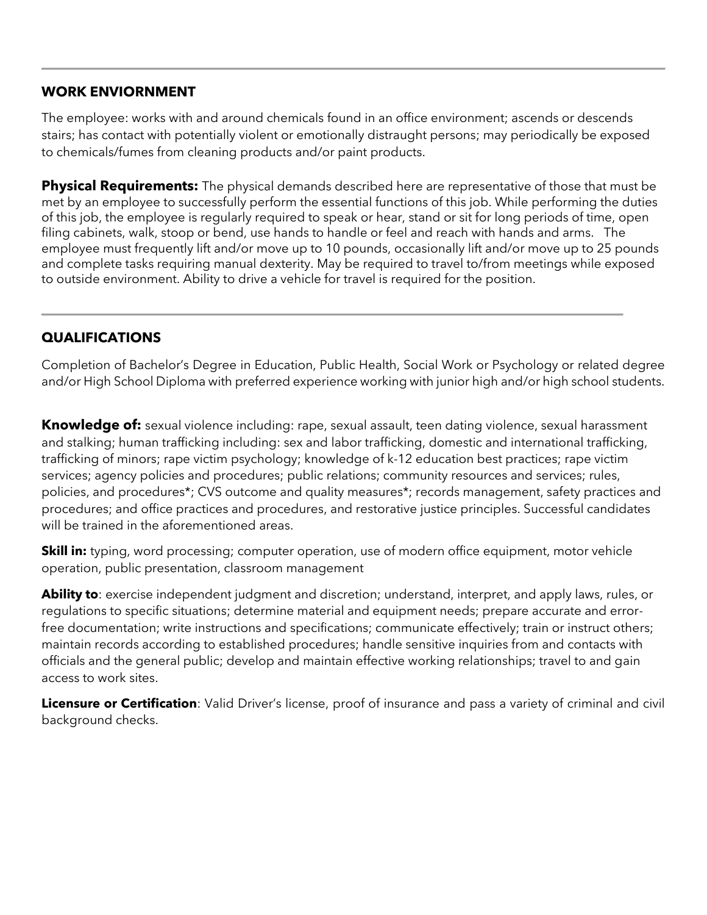## **WORK ENVIORNMENT**

The employee: works with and around chemicals found in an office environment; ascends or descends stairs; has contact with potentially violent or emotionally distraught persons; may periodically be exposed to chemicals/fumes from cleaning products and/or paint products.

**Physical Requirements:** The physical demands described here are representative of those that must be met by an employee to successfully perform the essential functions of this job. While performing the duties of this job, the employee is regularly required to speak or hear, stand or sit for long periods of time, open filing cabinets, walk, stoop or bend, use hands to handle or feel and reach with hands and arms. The employee must frequently lift and/or move up to 10 pounds, occasionally lift and/or move up to 25 pounds and complete tasks requiring manual dexterity. May be required to travel to/from meetings while exposed to outside environment. Ability to drive a vehicle for travel is required for the position.

# **QUALIFICATIONS**

Completion of Bachelor's Degree in Education, Public Health, Social Work or Psychology or related degree and/or High School Diploma with preferred experience working with junior high and/or high school students.

**Knowledge of:** sexual violence including: rape, sexual assault, teen dating violence, sexual harassment and stalking; human trafficking including: sex and labor trafficking, domestic and international trafficking, trafficking of minors; rape victim psychology; knowledge of k-12 education best practices; rape victim services; agency policies and procedures; public relations; community resources and services; rules, policies, and procedures\*; CVS outcome and quality measures\*; records management, safety practices and procedures; and office practices and procedures, and restorative justice principles. Successful candidates will be trained in the aforementioned areas.

**Skill in:** typing, word processing; computer operation, use of modern office equipment, motor vehicle operation, public presentation, classroom management

**Ability to**: exercise independent judgment and discretion; understand, interpret, and apply laws, rules, or regulations to specific situations; determine material and equipment needs; prepare accurate and errorfree documentation; write instructions and specifications; communicate effectively; train or instruct others; maintain records according to established procedures; handle sensitive inquiries from and contacts with officials and the general public; develop and maintain effective working relationships; travel to and gain access to work sites.

**Licensure or Certification**: Valid Driver's license, proof of insurance and pass a variety of criminal and civil background checks.